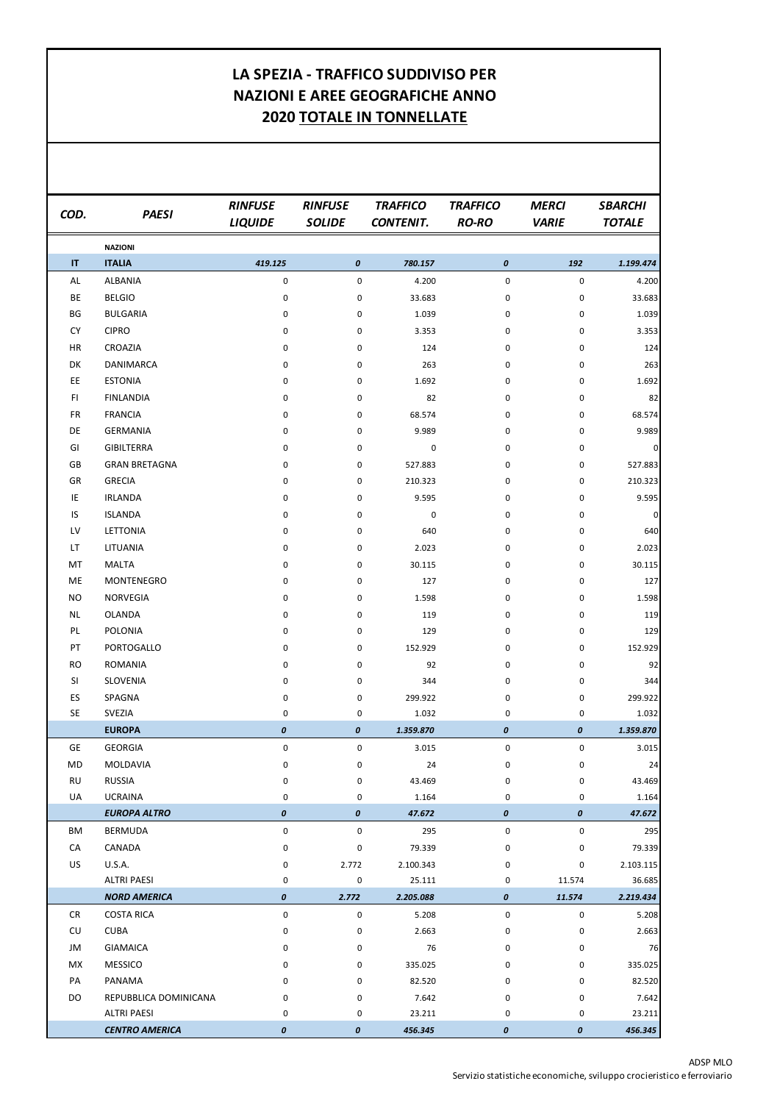## ADSP MLO

Servizio statistiche economiche, sviluppo crocieristico e ferroviario

| COD.      | <b>PAESI</b>                              | <b>RINFUSE</b><br><b>LIQUIDE</b> | <b>RINFUSE</b><br><b>SOLIDE</b> | <b>TRAFFICO</b><br><b>CONTENIT.</b> | <b>TRAFFICO</b><br><b>RO-RO</b> | <b>MERCI</b><br><b>VARIE</b> | <b>SBARCHI</b><br><b>TOTALE</b> |
|-----------|-------------------------------------------|----------------------------------|---------------------------------|-------------------------------------|---------------------------------|------------------------------|---------------------------------|
|           | <b>NAZIONI</b>                            |                                  |                                 |                                     |                                 |                              |                                 |
| IT        | <b>ITALIA</b>                             | 419.125                          | $\pmb{\mathit{0}}$              | 780.157                             | $\pmb{o}$                       | 192                          | 1.199.474                       |
| AL        | <b>ALBANIA</b>                            | 0                                | 0                               | 4.200                               | $\pmb{0}$                       | $\pmb{0}$                    | 4.200                           |
| BE        | <b>BELGIO</b>                             | 0                                | 0                               | 33.683                              | $\pmb{0}$                       | 0                            | 33.683                          |
| BG        | <b>BULGARIA</b>                           | 0                                | 0                               | 1.039                               | $\pmb{0}$                       | 0                            | 1.039                           |
| <b>CY</b> | <b>CIPRO</b>                              | 0                                | 0                               | 3.353                               | $\pmb{0}$                       | 0                            | 3.353                           |
| HR        | CROAZIA                                   | 0                                | 0                               | 124                                 | $\pmb{0}$                       | 0                            | 124                             |
| DK        | <b>DANIMARCA</b>                          | 0                                | 0                               | 263                                 | $\pmb{0}$                       | 0                            | 263                             |
| EE        | <b>ESTONIA</b>                            | 0                                | 0                               | 1.692                               | $\pmb{0}$                       | 0                            | 1.692                           |
| F1        | <b>FINLANDIA</b>                          | 0                                | 0                               | 82                                  | $\pmb{0}$                       | 0                            | 82                              |
| <b>FR</b> | <b>FRANCIA</b>                            | 0                                | 0                               | 68.574                              | $\pmb{0}$                       | 0                            | 68.574                          |
| DE        | <b>GERMANIA</b>                           | 0                                | 0                               | 9.989                               | $\pmb{0}$                       | 0                            | 9.989                           |
| GI        | <b>GIBILTERRA</b>                         | 0                                | 0                               | 0                                   | $\pmb{0}$                       | 0                            | 0                               |
| GB        | <b>GRAN BRETAGNA</b>                      | 0                                | 0                               | 527.883                             | $\pmb{0}$                       | 0                            | 527.883                         |
| GR        | <b>GRECIA</b>                             | 0                                | 0                               | 210.323                             | $\pmb{0}$                       | 0                            | 210.323                         |
| IE        | <b>IRLANDA</b>                            | 0                                | 0                               | 9.595                               | $\pmb{0}$                       | 0                            | 9.595                           |
| IS        | <b>ISLANDA</b>                            | 0                                | 0                               | 0                                   | $\pmb{0}$                       | 0                            | $\mathbf 0$                     |
| LV        | <b>LETTONIA</b>                           | 0                                | 0                               | 640                                 | $\pmb{0}$                       | 0                            | 640                             |
| <b>LT</b> | LITUANIA                                  | 0                                | 0                               | 2.023                               | $\pmb{0}$                       | 0                            | 2.023                           |
| MT        | <b>MALTA</b>                              | 0                                | 0                               | 30.115                              | $\pmb{0}$                       | 0                            | 30.115                          |
| ME        | <b>MONTENEGRO</b>                         | 0                                | 0                               | 127                                 | $\pmb{0}$                       | 0                            | 127                             |
| <b>NO</b> | <b>NORVEGIA</b>                           | 0                                | 0                               | 1.598                               | 0                               | 0                            | 1.598                           |
| <b>NL</b> | <b>OLANDA</b>                             | 0                                | 0                               | 119                                 | 0                               | 0                            | 119                             |
| PL        | <b>POLONIA</b>                            | 0                                | 0                               | 129                                 | 0                               | 0                            | 129                             |
| PT        | PORTOGALLO                                | 0                                | 0                               | 152.929                             | 0                               | 0                            | 152.929                         |
| <b>RO</b> | <b>ROMANIA</b>                            | 0                                | 0                               | 92                                  | 0                               | 0                            | 92                              |
| SI        | <b>SLOVENIA</b>                           | 0                                | 0                               | 344                                 | 0                               | 0                            | 344                             |
| ES        | SPAGNA                                    | 0                                | 0                               | 299.922                             | $\pmb{0}$                       | 0                            | 299.922                         |
| <b>SE</b> | SVEZIA                                    | 0                                | 0                               | 1.032                               | 0                               | 0                            | 1.032                           |
|           | <b>EUROPA</b>                             | $\pmb{\mathit{0}}$               | 0                               | 1.359.870                           | $\boldsymbol{o}$                | $\pmb{o}$                    | 1.359.870                       |
| <b>GE</b> | <b>GEORGIA</b>                            | $\pmb{0}$                        | 0                               | 3.015                               | $\pmb{0}$                       | 0                            | 3.015                           |
| MD        | MOLDAVIA                                  | 0                                | 0                               | 24                                  | $\pmb{0}$                       | 0                            | 24                              |
| <b>RU</b> | <b>RUSSIA</b>                             | 0                                | 0                               | 43.469                              | 0                               | 0                            | 43.469                          |
| UA        | <b>UCRAINA</b>                            | 0                                | 0                               | 1.164                               | 0                               | 0                            | 1.164                           |
|           | <b>EUROPA ALTRO</b>                       | $\pmb{\mathit{0}}$               | 0                               | 47.672                              | $\boldsymbol{o}$                | $\boldsymbol{o}$             | 47.672                          |
| BM        | <b>BERMUDA</b>                            | 0                                | 0                               | 295                                 | $\pmb{0}$                       | 0                            | 295                             |
| CA        | CANADA                                    | 0                                | 0                               | 79.339                              | $\pmb{0}$                       | 0                            | 79.339                          |
| <b>US</b> | <b>U.S.A.</b>                             | 0                                | 2.772                           | 2.100.343                           | 0                               | 0                            | 2.103.115                       |
|           | <b>ALTRI PAESI</b><br><b>NORD AMERICA</b> | 0<br>$\pmb{\mathit{0}}$          | 0<br>2.772                      | 25.111<br>2.205.088                 | 0<br>$\boldsymbol{o}$           | 11.574<br>11.574             | 36.685<br>2.219.434             |
| <b>CR</b> | <b>COSTA RICA</b>                         | $\pmb{0}$                        | 0                               | 5.208                               | $\pmb{0}$                       | 0                            | 5.208                           |
| CU        | <b>CUBA</b>                               | 0                                |                                 | 2.663                               | $\pmb{0}$                       | 0                            | 2.663                           |
| JM        | <b>GIAMAICA</b>                           | 0                                | 0<br>0                          | 76                                  | 0                               | 0                            | 76                              |
| <b>MX</b> | <b>MESSICO</b>                            | 0                                | 0                               | 335.025                             | 0                               | 0                            | 335.025                         |
| PA        | PANAMA                                    | 0                                | 0                               | 82.520                              | 0                               | 0                            | 82.520                          |
| DO        | REPUBBLICA DOMINICANA                     | 0                                | 0                               | 7.642                               | 0                               | 0                            | 7.642                           |
|           | <b>ALTRI PAESI</b>                        | 0                                | 0                               | 23.211                              | 0                               | 0                            | 23.211                          |
|           | <b>CENTRO AMERICA</b>                     | $\pmb{o}$                        | $\pmb{\mathit{0}}$              | 456.345                             | $\pmb{o}$                       | $\pmb{\mathit{0}}$           | 456.345                         |

## **LA SPEZIA - TRAFFICO SUDDIVISO PER NAZIONI E AREE GEOGRAFICHE ANNO 2020 TOTALE IN TONNELLATE**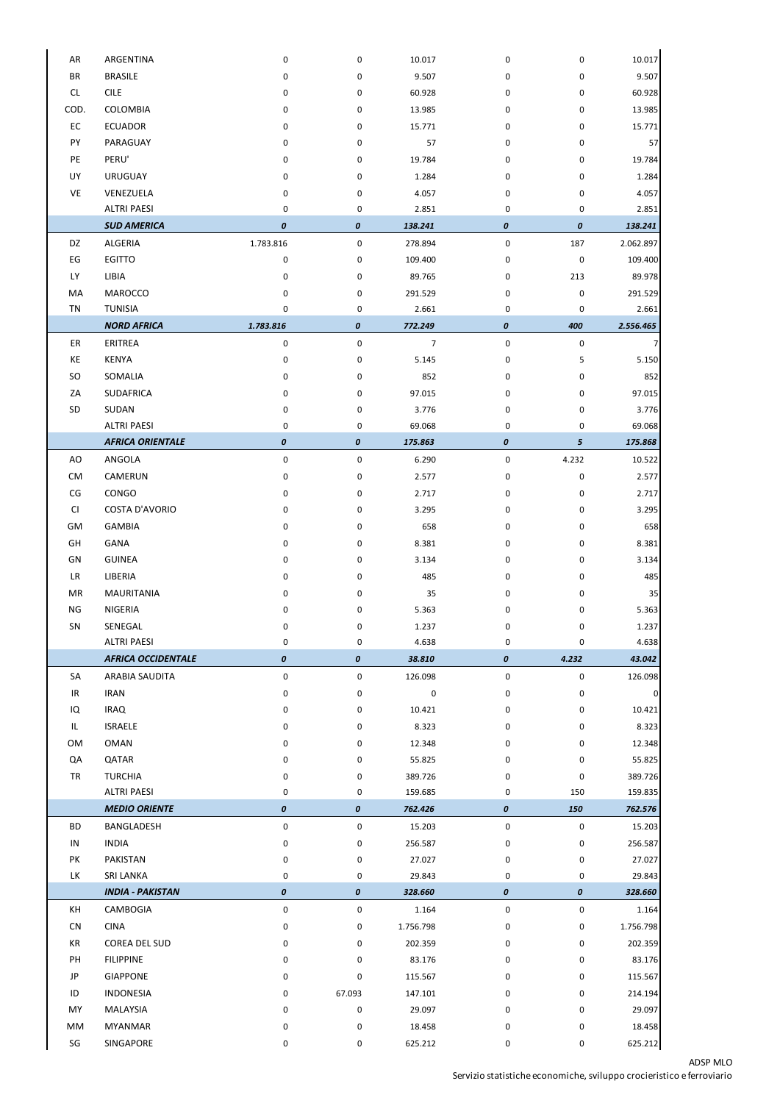## ADSP MLO

Servizio statistiche economiche, sviluppo crocieristico e ferroviario

| AR        | ARGENTINA                 | 0                  | 0                  | 10.017         | 0                | 0                | 10.017             |
|-----------|---------------------------|--------------------|--------------------|----------------|------------------|------------------|--------------------|
| <b>BR</b> | <b>BRASILE</b>            | 0                  | 0                  | 9.507          | 0                | 0                | 9.507              |
| CL        | <b>CILE</b>               | 0                  | 0                  | 60.928         | 0                | 0                | 60.928             |
| COD.      | COLOMBIA                  | 0                  | 0                  | 13.985         | 0                | 0                | 13.985             |
| EC        | <b>ECUADOR</b>            | 0                  | 0                  | 15.771         |                  | 0                | 15.771             |
| PY        | PARAGUAY                  | 0                  | 0                  | 57             | 0<br>0           | 0                | 57                 |
| PE        | PERU'                     |                    |                    | 19.784         |                  |                  |                    |
|           |                           | 0                  | 0                  |                | 0                | 0                | 19.784             |
| UY        | <b>URUGUAY</b>            | 0                  | 0                  | 1.284          | 0                | 0                | 1.284              |
| VE        | VENEZUELA                 | 0                  | 0                  | 4.057          | 0                | 0                | 4.057              |
|           | <b>ALTRI PAESI</b>        | 0                  | 0                  | 2.851          | 0                | 0                | 2.851              |
|           | <b>SUD AMERICA</b>        | $\pmb{o}$          | $\pmb{o}$          | 138.241        | 0                | $\pmb{o}$        | 138.241            |
| DZ        | ALGERIA                   | 1.783.816          | 0                  | 278.894        | 0                | 187              | 2.062.897          |
| EG        | <b>EGITTO</b>             | $\pmb{0}$          | 0                  | 109.400        | 0                | $\pmb{0}$        | 109.400            |
| <b>LY</b> | LIBIA                     | 0                  | 0                  | 89.765         | 0                | 213              | 89.978             |
| MA        | <b>MAROCCO</b>            | 0                  | 0                  | 291.529        | 0                | 0                | 291.529            |
| <b>TN</b> | <b>TUNISIA</b>            | 0                  | 0                  | 2.661          | 0                | 0                | 2.661              |
|           | <b>NORD AFRICA</b>        | 1.783.816          | $\pmb{o}$          | 772.249        | $\boldsymbol{o}$ | 400              | 2.556.465          |
| ER        | ERITREA                   | $\pmb{0}$          | $\mathbf 0$        | $\overline{7}$ | $\pmb{0}$        | $\pmb{0}$        | 7                  |
| KE        | <b>KENYA</b>              | 0                  | 0                  | 5.145          | 0                | 5                | 5.150              |
| <b>SO</b> | SOMALIA                   | 0                  | 0                  | 852            | 0                | 0                | 852                |
| ZA        | <b>SUDAFRICA</b>          | 0                  | 0                  | 97.015         | 0                | 0                | 97.015             |
| SD        | SUDAN                     | 0                  | 0                  | 3.776          | 0                | 0                | 3.776              |
|           | <b>ALTRI PAESI</b>        | 0                  | 0                  | 69.068         | 0                | 0                | 69.068             |
|           | <b>AFRICA ORIENTALE</b>   | $\pmb{\mathit{0}}$ | $\boldsymbol{o}$   | 175.863        | 0                | 5 <sup>5</sup>   | 175.868            |
| AO        | ANGOLA                    | 0                  | 0                  | 6.290          | 0                | 4.232            | 10.522             |
| <b>CM</b> | CAMERUN                   | 0                  | 0                  | 2.577          | 0                | 0                | 2.577              |
| CG        | CONGO                     | 0                  | 0                  | 2.717          | 0                | 0                | 2.717              |
| CI        | <b>COSTA D'AVORIO</b>     | 0                  | 0                  | 3.295          | 0                | 0                | 3.295              |
| GM        | <b>GAMBIA</b>             | 0                  | 0                  | 658            | 0                | 0                | 658                |
| GH        | GANA                      | 0                  | 0                  | 8.381          | 0                | 0                | 8.381              |
| GN        | <b>GUINEA</b>             | 0                  | 0                  | 3.134          | 0                | 0                | 3.134              |
| <b>LR</b> | LIBERIA                   | 0                  | 0                  | 485            | 0                | 0                | 485                |
| MR        | <b>MAURITANIA</b>         | 0                  | 0                  | 35             | 0                | 0                | 35                 |
| <b>NG</b> | NIGERIA                   | 0                  | 0                  | 5.363          | 0                | 0                | 5.363              |
| SN        | SENEGAL                   | 0                  | 0                  | 1.237          | 0                | 0                | 1.237              |
|           | <b>ALTRI PAESI</b>        | 0                  | 0                  | 4.638          | 0                | 0                | 4.638              |
|           | <b>AFRICA OCCIDENTALE</b> | $\pmb{\mathit{0}}$ | 0                  | 38.810         | 0                | 4.232            | 43.042             |
| SA        | ARABIA SAUDITA            | $\pmb{0}$          | 0                  | 126.098        | 0                | $\pmb{0}$        | 126.098            |
| IR        | <b>IRAN</b>               | $\pmb{0}$          | 0                  | 0              | 0                | 0                | $\overline{0}$     |
| IQ        | <b>IRAQ</b>               | 0                  | 0                  | 10.421         | 0                | 0                | 10.421             |
| IL        | <b>ISRAELE</b>            | 0                  | 0                  | 8.323          | 0                | 0                | 8.323              |
| OM        | <b>OMAN</b>               | 0                  | 0                  | 12.348         | 0                | 0                | 12.348             |
| QA        | QATAR                     | 0                  | 0                  | 55.825         | 0                | 0                | 55.825             |
| <b>TR</b> | <b>TURCHIA</b>            | 0                  | 0                  | 389.726        | 0                | 0                | 389.726            |
|           | <b>ALTRI PAESI</b>        | 0                  | 0                  | 159.685        | 0                | 150              | 159.835            |
|           | <b>MEDIO ORIENTE</b>      | $\pmb{\mathit{0}}$ | $\pmb{\mathit{0}}$ | 762.426        | 0                | 150              | 762.576            |
| <b>BD</b> | BANGLADESH                | $\pmb{0}$          | 0                  | 15.203         | 0                | 0                | 15.203             |
| IN        | <b>INDIA</b>              | $\pmb{0}$          | 0                  | 256.587        | 0                | 0                | 256.587            |
| PK        | PAKISTAN                  | $\pmb{0}$          | 0                  | 27.027         | 0                | 0                | 27.027             |
| LK        | SRI LANKA                 | 0                  | 0                  | 29.843         | 0                | 0                | 29.843             |
|           | <b>INDIA - PAKISTAN</b>   | $\pmb{o}$          | $\boldsymbol{0}$   | 328.660        | $\boldsymbol{o}$ | $\boldsymbol{0}$ | 328.660            |
| KH        |                           |                    |                    |                |                  |                  |                    |
| CN        | CAMBOGIA<br><b>CINA</b>   | $\pmb{0}$          | 0                  | 1.164          | 0                | 0                | 1.164<br>1.756.798 |
|           |                           | $\pmb{0}$          | 0                  | 1.756.798      | 0                | 0                |                    |
| KR        | COREA DEL SUD             | 0                  | 0                  | 202.359        | 0                | 0                | 202.359            |
| PH        | <b>FILIPPINE</b>          | 0                  | 0                  | 83.176         | 0                | 0                | 83.176             |
| JP        | <b>GIAPPONE</b>           | 0                  | 0                  | 115.567        | 0                | 0                | 115.567            |
| ID        | <b>INDONESIA</b>          | 0                  | 67.093             | 147.101        | 0                | 0                | 214.194            |
| MY        | MALAYSIA                  | 0                  | 0                  | 29.097         | 0                | 0                | 29.097             |
| MM        | <b>MYANMAR</b>            | $\pmb{0}$          | 0                  | 18.458         | 0                | 0                | 18.458             |
| SG        | SINGAPORE                 | 0                  | 0                  | 625.212        | 0                | 0                | 625.212            |